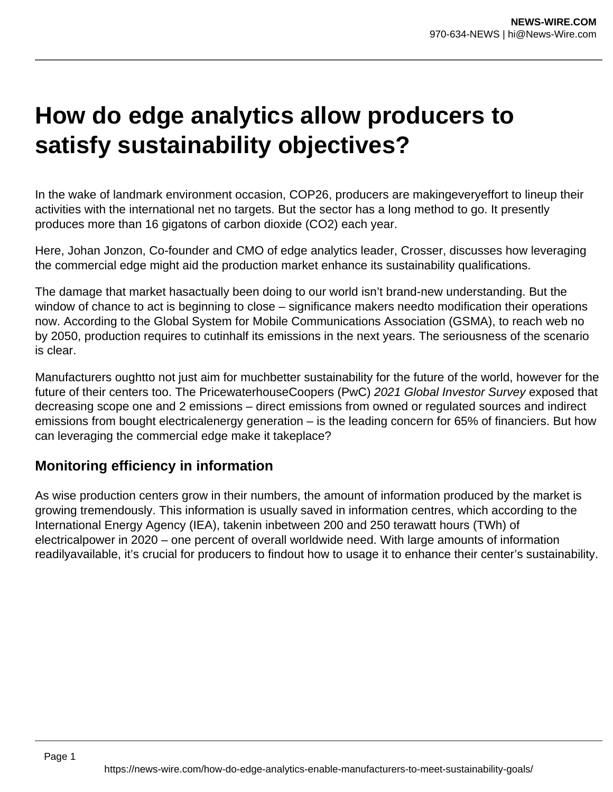## **How do edge analytics allow producers to satisfy sustainability objectives?**

In the wake of landmark environment occasion, COP26, producers are makingeveryeffort to lineup their activities with the international net no targets. But the sector has a long method to go. It presently produces more than 16 gigatons of carbon dioxide (CO2) each year.

Here, Johan Jonzon, Co-founder and CMO of edge analytics leader, Crosser, discusses how leveraging the commercial edge might aid the production market enhance its sustainability qualifications.

The damage that market hasactually been doing to our world isn't brand-new understanding. But the window of chance to act is beginning to close – significance makers needto modification their operations now. According to the Global System for Mobile Communications Association (GSMA), to reach web no by 2050, production requires to cutinhalf its emissions in the next years. The seriousness of the scenario is clear.

Manufacturers oughtto not just aim for muchbetter sustainability for the future of the world, however for the future of their centers too. The PricewaterhouseCoopers (PwC) 2021 Global Investor Survey exposed that decreasing scope one and 2 emissions – direct emissions from owned or regulated sources and indirect emissions from bought electricalenergy generation – is the leading concern for 65% of financiers. But how can leveraging the commercial edge make it takeplace?

## **Monitoring efficiency in information**

As wise production centers grow in their numbers, the amount of information produced by the market is growing tremendously. This information is usually saved in information centres, which according to the International Energy Agency (IEA), takenin inbetween 200 and 250 terawatt hours (TWh) of electricalpower in 2020 – one percent of overall worldwide need. With large amounts of information readilyavailable, it's crucial for producers to findout how to usage it to enhance their center's sustainability.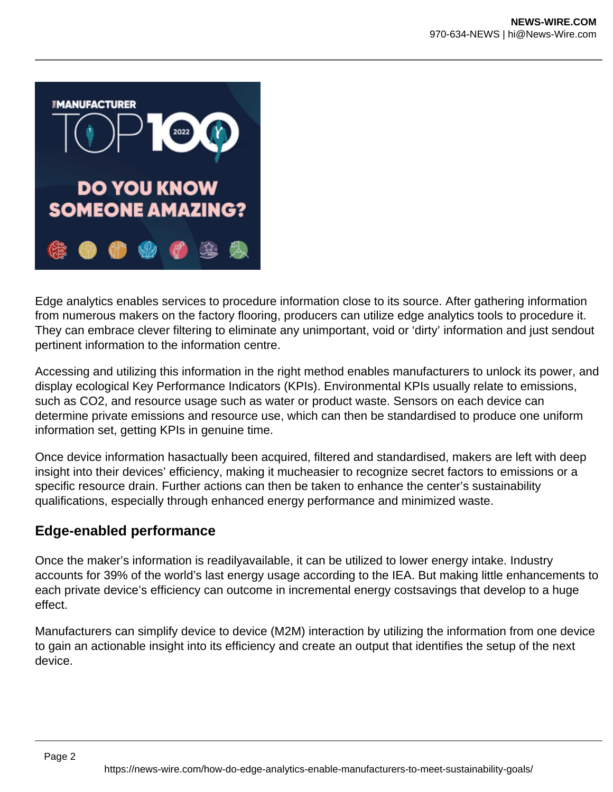

Edge analytics enables services to procedure information close to its source. After gathering information from numerous makers on the factory flooring, producers can utilize edge analytics tools to procedure it. They can embrace clever filtering to eliminate any unimportant, void or 'dirty' information and just sendout pertinent information to the information centre.

Accessing and utilizing this information in the right method enables manufacturers to unlock its power, and display ecological Key Performance Indicators (KPIs). Environmental KPIs usually relate to emissions, such as CO2, and resource usage such as water or product waste. Sensors on each device can determine private emissions and resource use, which can then be standardised to produce one uniform information set, getting KPIs in genuine time.

Once device information hasactually been acquired, filtered and standardised, makers are left with deep insight into their devices' efficiency, making it mucheasier to recognize secret factors to emissions or a specific resource drain. Further actions can then be taken to enhance the center's sustainability qualifications, especially through enhanced energy performance and minimized waste.

## **Edge-enabled performance**

Once the maker's information is readilyavailable, it can be utilized to lower energy intake. Industry accounts for 39% of the world's last energy usage according to the IEA. But making little enhancements to each private device's efficiency can outcome in incremental energy costsavings that develop to a huge effect.

Manufacturers can simplify device to device (M2M) interaction by utilizing the information from one device to gain an actionable insight into its efficiency and create an output that identifies the setup of the next device.